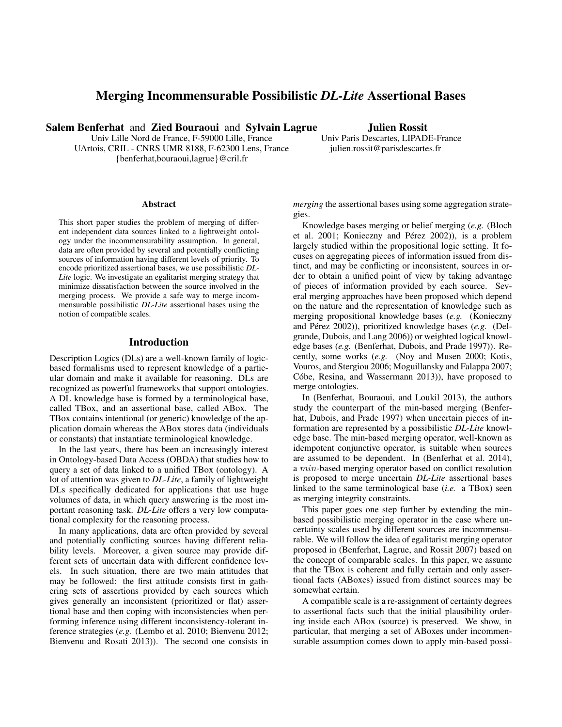# Merging Incommensurable Possibilistic *DL-Lite* Assertional Bases

Salem Benferhat and Zied Bouraoui and Sylvain Lagrue

Univ Lille Nord de France, F-59000 Lille, France UArtois, CRIL - CNRS UMR 8188, F-62300 Lens, France {benferhat,bouraoui,lagrue}@cril.fr

### Julien Rossit Univ Paris Descartes, LIPADE-France julien.rossit@parisdescartes.fr

#### Abstract

This short paper studies the problem of merging of different independent data sources linked to a lightweight ontology under the incommensurability assumption. In general, data are often provided by several and potentially conflicting sources of information having different levels of priority. To encode prioritized assertional bases, we use possibilistic *DL-Lite* logic. We investigate an egalitarist merging strategy that minimize dissatisfaction between the source involved in the merging process. We provide a safe way to merge incommensurable possibilistic *DL-Lite* assertional bases using the notion of compatible scales.

# Introduction

Description Logics (DLs) are a well-known family of logicbased formalisms used to represent knowledge of a particular domain and make it available for reasoning. DLs are recognized as powerful frameworks that support ontologies. A DL knowledge base is formed by a terminological base, called TBox, and an assertional base, called ABox. The TBox contains intentional (or generic) knowledge of the application domain whereas the ABox stores data (individuals or constants) that instantiate terminological knowledge.

In the last years, there has been an increasingly interest in Ontology-based Data Access (OBDA) that studies how to query a set of data linked to a unified TBox (ontology). A lot of attention was given to *DL-Lite*, a family of lightweight DLs specifically dedicated for applications that use huge volumes of data, in which query answering is the most important reasoning task. *DL-Lite* offers a very low computational complexity for the reasoning process.

In many applications, data are often provided by several and potentially conflicting sources having different reliability levels. Moreover, a given source may provide different sets of uncertain data with different confidence levels. In such situation, there are two main attitudes that may be followed: the first attitude consists first in gathering sets of assertions provided by each sources which gives generally an inconsistent (prioritized or flat) assertional base and then coping with inconsistencies when performing inference using different inconsistency-tolerant inference strategies (*e.g.* (Lembo et al. 2010; Bienvenu 2012; Bienvenu and Rosati 2013)). The second one consists in

*merging* the assertional bases using some aggregation strategies.

Knowledge bases merging or belief merging (*e.g.* (Bloch et al. 2001; Konieczny and Pérez 2002)), is a problem largely studied within the propositional logic setting. It focuses on aggregating pieces of information issued from distinct, and may be conflicting or inconsistent, sources in order to obtain a unified point of view by taking advantage of pieces of information provided by each source. Several merging approaches have been proposed which depend on the nature and the representation of knowledge such as merging propositional knowledge bases (*e.g.* (Konieczny and Pérez 2002)), prioritized knowledge bases (*e.g.* (Delgrande, Dubois, and Lang 2006)) or weighted logical knowledge bases (*e.g.* (Benferhat, Dubois, and Prade 1997)). Recently, some works (*e.g.* (Noy and Musen 2000; Kotis, Vouros, and Stergiou 2006; Moguillansky and Falappa 2007; Cóbe, Resina, and Wassermann 2013)), have proposed to merge ontologies.

In (Benferhat, Bouraoui, and Loukil 2013), the authors study the counterpart of the min-based merging (Benferhat, Dubois, and Prade 1997) when uncertain pieces of information are represented by a possibilistic *DL-Lite* knowledge base. The min-based merging operator, well-known as idempotent conjunctive operator, is suitable when sources are assumed to be dependent. In (Benferhat et al. 2014), a min-based merging operator based on conflict resolution is proposed to merge uncertain *DL-Lite* assertional bases linked to the same terminological base (*i.e.* a TBox) seen as merging integrity constraints.

This paper goes one step further by extending the minbased possibilistic merging operator in the case where uncertainty scales used by different sources are incommensurable. We will follow the idea of egalitarist merging operator proposed in (Benferhat, Lagrue, and Rossit 2007) based on the concept of comparable scales. In this paper, we assume that the TBox is coherent and fully certain and only assertional facts (ABoxes) issued from distinct sources may be somewhat certain.

A compatible scale is a re-assignment of certainty degrees to assertional facts such that the initial plausibility ordering inside each ABox (source) is preserved. We show, in particular, that merging a set of ABoxes under incommensurable assumption comes down to apply min-based possi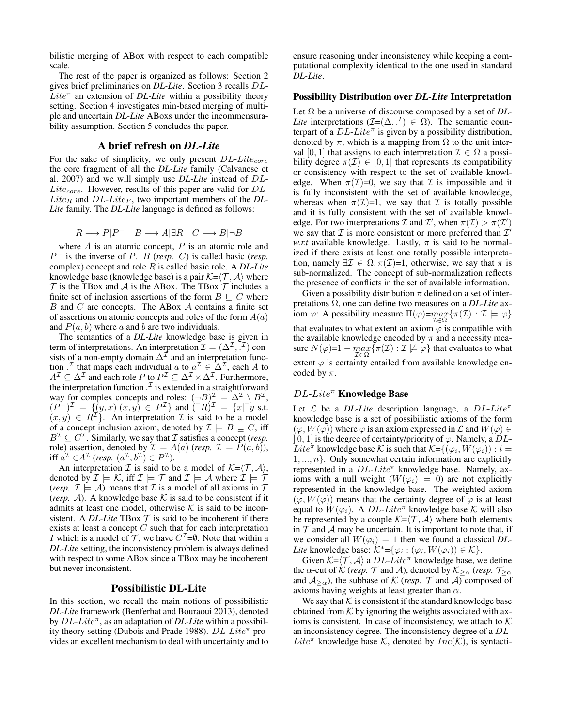bilistic merging of ABox with respect to each compatible scale.

The rest of the paper is organized as follows: Section 2 gives brief preliminaries on *DL-Lite*. Section 3 recalls DL- $\overline{L}ite^{\pi}$  an extension of *DL-Lite* within a possibility theory setting. Section 4 investigates min-based merging of multiple and uncertain *DL-Lite* ABoxs under the incommensurability assumption. Section 5 concludes the paper.

### A brief refresh on *DL-Lite*

For the sake of simplicity, we only present  $DL\text{-}Lite_{core}$ the core fragment of all the *DL-Lite* family (Calvanese et al. 2007) and we will simply use *DL-Lite* instead of DL- $Life_{core}$ . However, results of this paper are valid for  $DL$ - $Like_R$  and  $DL\text{-}Like_F$ , two important members of the  $DL$ -*Lite* family. The *DL-Lite* language is defined as follows:

$$
R \longrightarrow P|P^- \quad B \longrightarrow A|\exists R \quad C \longrightarrow B|\neg B
$$

where  $A$  is an atomic concept,  $P$  is an atomic role and  $P^-$  is the inverse of P. B (*resp.* C) is called basic (*resp.* complex) concept and role R is called basic role. A *DL-Lite* knowledge base (knowledge base) is a pair  $K=\langle \mathcal{T}, \mathcal{A} \rangle$  where  $T$  is the TBox and  $A$  is the ABox. The TBox  $T$  includes a finite set of inclusion assertions of the form  $B \sqsubseteq C$  where  $B$  and  $C$  are concepts. The ABox  $A$  contains a finite set of assertions on atomic concepts and roles of the form  $A(a)$ and  $P(a, b)$  where a and b are two individuals.

The semantics of a *DL-Lite* knowledge base is given in term of interpretations. An interpretation  $\mathcal{I} = (\Delta^{\mathcal{I}}, \tilde{\cdot}^{\mathcal{I}})$  consists of a non-empty domain  $\Delta^{\mathcal{I}}$  and an interpretation function  $\cdot^{\mathcal{I}}$  that maps each individual a to  $a^{\mathcal{I}} \in \Delta^{\mathcal{I}}$ , each A to  $A^{\mathcal{I}} \subseteq \Delta^{\mathcal{I}}$  and each role P to  $P^{\mathcal{I}} \subseteq \Delta^{\mathcal{I}} \times \Delta^{\mathcal{I}}$ . Furthermore, the interpretation function  $\mathcal{I}$  is extended in a straightforward way for complex concepts and roles:  $(\neg B)^{\mathcal{I}} = \Delta^{\mathcal{I}} \setminus B^{\mathcal{I}}$ ,  $(P^{-})^{\mathcal{I}} = \{ (y,x) | (x,y) \in P^{\mathcal{I}} \}$  and  $(\exists R)^{\mathcal{I}} = \{ x | \exists y \text{ s.t. } y \in P^{\mathcal{I}} \}$  $(x, y) \in R^{\mathcal{I}}$ . An interpretation  $\mathcal{I}$  is said to be a model of a concept inclusion axiom, denoted by  $\mathcal{I} \models B \sqsubseteq C$ , iff  $B^{\mathcal{I}} \subseteq C^{\mathcal{I}}$ . Similarly, we say that  $\mathcal{I}$  satisfies a concept (*resp.* role) assertion, denoted by  $\mathcal{I} \models A(a)$  (*resp.*  $\mathcal{I} \models P(a, b)$ ), iff  $a^{\mathcal{I}} \in A^{\mathcal{I}}$  (resp.  $(a^{\mathcal{I}}, b^{\mathcal{I}}) \in P^{\mathcal{I}}$ ).

An interpretation  $\mathcal I$  is said to be a model of  $\mathcal K = \langle \mathcal T, \mathcal A \rangle$ , denoted by  $\mathcal{I} \models \mathcal{K}$ , iff  $\mathcal{I} \models \mathcal{T}$  and  $\mathcal{I} \models \mathcal{A}$  where  $\mathcal{I} \models \mathcal{T}$ (*resp.*  $\mathcal{I} \models \mathcal{A}$ ) means that  $\mathcal{I}$  is a model of all axioms in  $\mathcal{T}$ (*resp.* A). A knowledge base K is said to be consistent if it admits at least one model, otherwise  $K$  is said to be inconsistent. A *DL-Lite* TBox  $T$  is said to be incoherent if there exists at least a concept  $C$  such that for each interpretation *I* which is a model of  $\mathcal{T}$ , we have  $C^{\mathcal{I}} = \emptyset$ . Note that within a *DL-Lite* setting, the inconsistency problem is always defined with respect to some ABox since a TBox may be incoherent but never inconsistent.

### Possibilistic DL-Lite

In this section, we recall the main notions of possibilistic *DL-Lite* framework (Benferhat and Bouraoui 2013), denoted by DL-Lite<sup> $\pi$ </sup>, as an adaptation of DL-Lite within a possibility theory setting (Dubois and Prade 1988).  $DL\text{-}Lie^{\pi}$  provides an excellent mechanism to deal with uncertainty and to

ensure reasoning under inconsistency while keeping a computational complexity identical to the one used in standard *DL-Lite*.

#### Possibility Distribution over *DL-Lite* Interpretation

Let Ω be a universe of discourse composed by a set of *DL-Lite* interpretations  $(\mathcal{I}=(\Delta, .^I) \in \Omega)$ . The semantic counterpart of a  $DL\text{-}Lite^{\pi}$  is given by a possibility distribution, denoted by  $\pi$ , which is a mapping from  $\Omega$  to the unit interval [0, 1] that assigns to each interpretation  $\mathcal{I} \in \Omega$  a possibility degree  $\pi(\mathcal{I}) \in [0,1]$  that represents its compatibility or consistency with respect to the set of available knowledge. When  $\pi(\mathcal{I})=0$ , we say that  $\mathcal I$  is impossible and it is fully inconsistent with the set of available knowledge, whereas when  $\pi(\mathcal{I})=1$ , we say that  $\mathcal I$  is totally possible and it is fully consistent with the set of available knowledge. For two interpretations  $\mathcal I$  and  $\mathcal I'$ , when  $\pi(\mathcal I) > \pi(\mathcal I')$ we say that  $\mathcal I$  is more consistent or more preferred than  $\mathcal I'$ *w.r.t* available knowledge. Lastly,  $\pi$  is said to be normalized if there exists at least one totally possible interpretation, namely  $\exists \mathcal{I} \in \Omega, \pi(\mathcal{I})=1$ , otherwise, we say that  $\pi$  is sub-normalized. The concept of sub-normalization reflects the presence of conflicts in the set of available information.

Given a possibility distribution  $\pi$  defined on a set of interpretations Ω, one can define two measures on a *DL-Lite* axiom  $\varphi$ : A possibility measure  $\Pi(\varphi) = \max{\{\pi(\mathcal{I}) : \mathcal{I} \models \varphi\}}$  $\mathcal{I} \in \Omega$ that evaluates to what extent an axiom  $\varphi$  is compatible with the available knowledge encoded by  $\pi$  and a necessity measure  $N(\varphi)$ = $1 - \max_{\mathcal{I}} \{ \pi(\mathcal{I}) : \mathcal{I} \not\models \varphi \}$  that evaluates to what I∈Ω extent  $\varphi$  is certainty entailed from available knowledge encoded by  $\pi$ .

# DL-Lite<sup>π</sup> Knowledge Base

Let  $\mathcal L$  be a *DL-Lite* description language, a *DL-Lite*<sup> $\pi$ </sup> knowledge base is a set of possibilistic axioms of the form  $(\varphi, W(\varphi))$  where  $\varphi$  is an axiom expressed in  $\mathcal L$  and  $W(\varphi) \in$ ] 0, 1] is the degree of certainty/priority of  $\varphi$ . Namely, a DL-Lite<sup> $\pi$ </sup> knowledge base K is such that  $K = \{(\varphi_i, W(\varphi_i)) : i =$  $1, \ldots, n$ . Only somewhat certain information are explicitly represented in a  $DL\text{-}Life^{\pi}$  knowledge base. Namely, axioms with a null weight  $(W(\varphi_i) = 0)$  are not explicitly represented in the knowledge base. The weighted axiom  $(\varphi, W(\varphi))$  means that the certainty degree of  $\varphi$  is at least equal to  $W(\varphi_i)$ . A  $DL\text{-}Lite^{\pi}$  knowledge base K will also be represented by a couple  $K=\langle \mathcal{T}, \mathcal{A} \rangle$  where both elements in  $T$  and  $A$  may be uncertain. It is important to note that, if we consider all  $W(\varphi_i) = 1$  then we found a classical *DL*-*Lite* knowledge base:  $K^* = {\varphi_i : (\varphi_i, W(\varphi_i)) \in \mathcal{K}}$ .

Given  $K=\langle \mathcal{T}, \mathcal{A}\rangle$  a  $DL\text{-}Lite^{\pi}$  knowledge base, we define the  $\alpha$ -cut of K (*resp.*  $\mathcal{T}$  and A), denoted by  $\mathcal{K}_{\geq \alpha}$  (*resp.*  $\mathcal{T}_{\geq \alpha}$ and  $A_{\geq \alpha}$ ), the subbase of K (*resp.* T and A) composed of axioms having weights at least greater than  $\alpha$ .

We say that  $K$  is consistent if the standard knowledge base obtained from  $K$  by ignoring the weights associated with axioms is consistent. In case of inconsistency, we attach to  $K$ an inconsistency degree. The inconsistency degree of a DL-Lite<sup> $\pi$ </sup> knowledge base K, denoted by  $Inc(K)$ , is syntacti-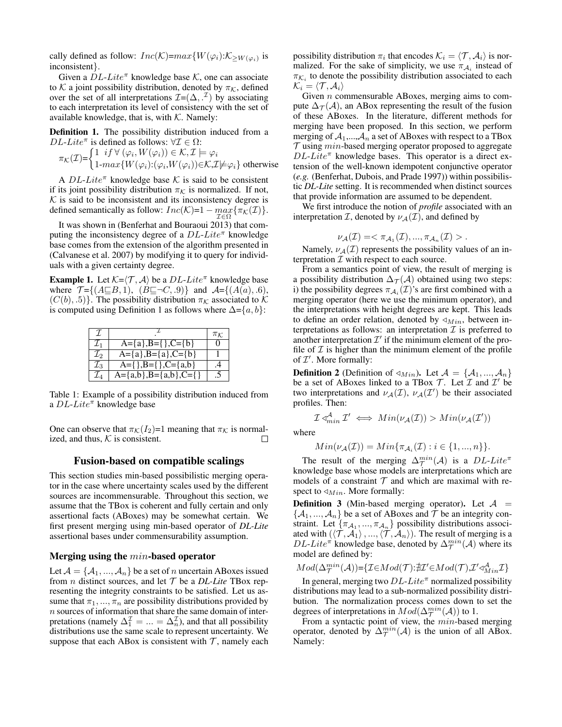cally defined as follow:  $Inc(K)=max{W(\varphi_i)}:\mathcal{K}_{\geq W(\varphi_i)}$  is inconsistent}.

Given a  $DL\text{-}Lite^{\pi}$  knowledge base K, one can associate to K a joint possibility distribution, denoted by  $\pi_K$ , defined over the set of all interpretations  $\mathcal{I} = (\Delta, \cdot^{\mathcal{I}})$  by associating to each interpretation its level of consistency with the set of available knowledge, that is, with  $K$ . Namely:

Definition 1. The possibility distribution induced from a DL-Lite<sup> $\pi$ </sup> is defined as follows:  $\forall \mathcal{I} \in \Omega$ :

$$
\pi_{\mathcal{K}}(\mathcal{I}) = \begin{cases} 1 & if \ \forall \ (\varphi_i, W(\varphi_i)) \in \mathcal{K}, \mathcal{I} \models \varphi_i \\ 1 \text{-} \max \{ W(\varphi_i) : (\varphi_i, W(\varphi_i)) \in \mathcal{K}, \mathcal{I} \models \varphi_i \} \ \text{otherwise} \end{cases}
$$

A  $DL\text{-}Lie^{\pi}$  knowledge base K is said to be consistent if its joint possibility distribution  $\pi_K$  is normalized. If not,  $K$  is said to be inconsistent and its inconsistency degree is defined semantically as follow:  $Inc(K)=1 - max_{\mathcal{I} \in \Omega} {\{\pi_{\mathcal{K}}(\mathcal{I})\}}.$ 

It was shown in (Benferhat and Bouraoui 2013) that computing the inconsistency degree of a  $DL\text{-}Life^{\pi}$  knowledge base comes from the extension of the algorithm presented in (Calvanese et al. 2007) by modifying it to query for individuals with a given certainty degree.

**Example 1.** Let  $K=\langle \mathcal{T}, \mathcal{A} \rangle$  be a  $DL\text{-}Lite^{\pi}$  knowledge base where  $\mathcal{T} = \{(A \sqsubseteq B, 1), (B \sqsubseteq \neg C, .9)\}$  and  $\mathcal{A} = \{(A(a), .6),$  $(C(b), 5)$ . The possibility distribution  $\pi_K$  associated to K is computed using Definition 1 as follows where  $\Delta = \{a, b\}$ :

| T.              |                                      | $\pi_K$           |
|-----------------|--------------------------------------|-------------------|
| $\mathcal{I}_1$ | $A = \{a\}, B = \{\}$ , $C = \{b\}$  | $\mathbf{\Omega}$ |
| $\mathcal{I}_2$ | $A = \{a\}, B = \{a\}, C = \{b\}$    |                   |
| $\mathcal{I}_3$ | $A=\{\},B=\{\},C=\{a,b\}$            | .4                |
| $\mathcal{I}_4$ | $A = \{a,b\}, B = \{a,b\}, C = \{\}$ | .5                |

Table 1: Example of a possibility distribution induced from a  $DL\text{-}Lie^{\pi}$  knowledge base

One can observe that  $\pi_K(I_2)=1$  meaning that  $\pi_K$  is normalized, and thus,  $K$  is consistent. П

### Fusion-based on compatible scalings

This section studies min-based possibilistic merging operator in the case where uncertainty scales used by the different sources are incommensurable. Throughout this section, we assume that the TBox is coherent and fully certain and only assertional facts (ABoxes) may be somewhat certain. We first present merging using min-based operator of *DL-Lite* assertional bases under commensurability assumption.

## Merging using the min-based operator

Let  $A = \{A_1, ..., A_n\}$  be a set of n uncertain ABoxes issued from *n* distinct sources, and let  $T$  be a *DL-Lite* TBox representing the integrity constraints to be satisfied. Let us assume that  $\pi_1, ..., \pi_n$  are possibility distributions provided by  $n$  sources of information that share the same domain of interpretations (namely  $\Delta_1^{\mathcal{I}} = ... = \Delta_n^{\mathcal{I}}$ ), and that all possibility distributions use the same scale to represent uncertainty. We suppose that each ABox is consistent with  $\mathcal{T}$ , namely each

possibility distribution  $\pi_i$  that encodes  $\mathcal{K}_i = \langle \mathcal{T}, \mathcal{A}_i \rangle$  is normalized. For the sake of simplicity, we use  $\pi_{A_i}$  instead of  $\pi_{\mathcal{K}_i}$  to denote the possibility distribution associated to each  $\mathcal{K}_i = \langle \mathcal{T}, \mathcal{A}_i \rangle$ 

Given n commensurable ABoxes, merging aims to compute  $\Delta_{\mathcal{T}}(\mathcal{A})$ , an ABox representing the result of the fusion of these ABoxes. In the literature, different methods for merging have been proposed. In this section, we perform merging of  $A_1,...,A_n$  a set of ABoxes with respect to a TBox  $\mathcal T$  using  $min$ -based merging operator proposed to aggregate  $DL\text{-}Lie^{\pi}$  knowledge bases. This operator is a direct extension of the well-known idempotent conjunctive operator (*e.g.* (Benferhat, Dubois, and Prade 1997)) within possibilistic *DL-Lite* setting. It is recommended when distinct sources that provide information are assumed to be dependent.

We first introduce the notion of *profile* associated with an interpretation *I*, denoted by  $\nu_A(\mathcal{I})$ , and defined by

$$
\nu_{\mathcal{A}}(\mathcal{I}) = \langle \pi_{\mathcal{A}_1}(\mathcal{I}),...,\pi_{\mathcal{A}_n}(\mathcal{I}) \rangle.
$$

Namely,  $\nu_A(\mathcal{I})$  represents the possibility values of an interpretation  $\mathcal I$  with respect to each source.

From a semantics point of view, the result of merging is a possibility distribution  $\Delta_{\mathcal{T}}(\mathcal{A})$  obtained using two steps: i) the possibility degrees  $\pi_{\mathcal{A}_i}(\mathcal{I})$ 's are first combined with a merging operator (here we use the minimum operator), and the interpretations with height degrees are kept. This leads to define an order relation, denoted by  $\triangleleft_{Min}$ , between interpretations as follows: an interpretation  $\mathcal I$  is preferred to another interpretation  $\mathcal{I}'$  if the minimum element of the profile of  $\mathcal I$  is higher than the minimum element of the profile of  $\mathcal{I}'$ . More formally:

**Definition 2** (Definition of  $\triangleleft_{Min}$ ). Let  $\mathcal{A} = \{A_1, ..., A_n\}$ be a set of ABoxes linked to a TBox  $\mathcal T$ . Let  $\mathcal I$  and  $\mathcal I'$  be two interpretations and  $\nu_A(\mathcal{I}), \nu_A(\mathcal{I}')$  be their associated profiles. Then:

$$
\mathcal{I} \triangleleft^{\mathcal{A}}_{min} \mathcal{I}' \iff Min(\nu_{\mathcal{A}}(\mathcal{I})) > Min(\nu_{\mathcal{A}}(\mathcal{I}'))
$$

where

$$
Min(\nu_{\mathcal{A}}(\mathcal{I})) = Min{\pi_{\mathcal{A}_i}(\mathcal{I}) : i \in \{1, ..., n\}}.
$$

The result of the merging  $\Delta_{\mathcal{T}}^{min}(\mathcal{A})$  is a  $DL\text{-}Lite^{\pi}$ knowledge base whose models are interpretations which are models of a constraint  $T$  and which are maximal with respect to  $\triangleleft_{Min}$ . More formally:

**Definition 3** (Min-based merging operator). Let  $A =$  $\{A_1, ..., A_n\}$  be a set of ABoxes and  $\mathcal T$  be an integrity constraint. Let  $\{\pi_{A_1}, ..., \pi_{A_n}\}\$  possibility distributions associated with  $(\langle \mathcal{T}, \mathcal{A}_1 \rangle, ..., \langle \mathcal{T}, \mathcal{A}_n \rangle)$ . The result of merging is a  $DL\text{-}Lie^{\pi}$  knowledge base, denoted by  $\Delta_{\mathcal{T}}^{min}(\mathcal{A})$  where its model are defined by:

$$
Mod(\Delta^{min}_\mathcal{T}(\mathcal{A}))\text{=}\{\mathcal{I}\text{}\text{ }\in Mod(\mathcal{T})\text{:}\nexists \mathcal{I}'\text{ }\in Mod(\mathcal{T}),\mathcal{I}'\text{ } \triangleleft^{\mathcal{A}}_{Min}\mathcal{I}\}
$$

In general, merging two  $DL\text{-}Lite^{\pi}$  normalized possibility distributions may lead to a sub-normalized possibility distribution. The normalization process comes down to set the degrees of interpretations in  $Mod(\Delta_{\mathcal{T}}^{min}(\mathcal{A}))$  to 1.

From a syntactic point of view, the *min*-based merging operator, denoted by  $\Delta_{\mathcal{T}}^{min}(\mathcal{A})$  is the union of all ABox. Namely: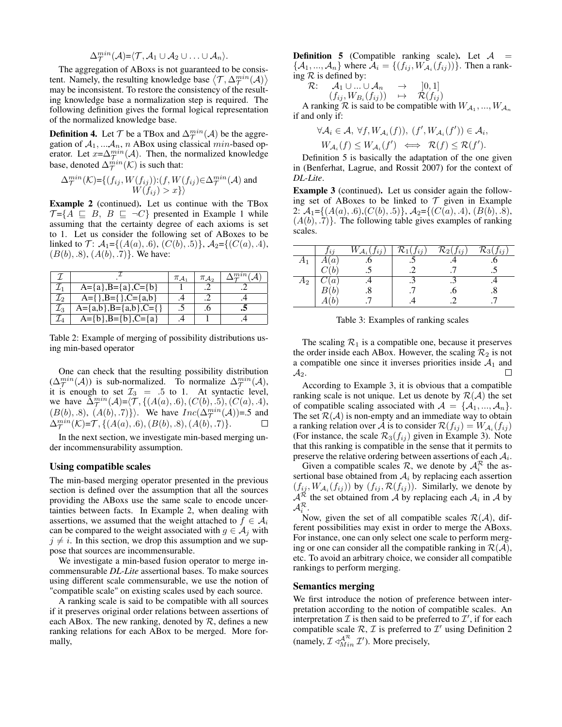$$
\Delta_{\mathcal{T}}^{min}(\mathcal{A}) = \langle \mathcal{T}, \mathcal{A}_1 \cup \mathcal{A}_2 \cup \ldots \cup \mathcal{A}_n \rangle.
$$

The aggregation of ABoxs is not guaranteed to be consistent. Namely, the resulting knowledge base  $\langle \mathcal{T}, \Delta_{\mathcal{T}}^{min}(\mathcal{A}) \rangle$ may be inconsistent. To restore the consistency of the resulting knowledge base a normalization step is required. The following definition gives the formal logical representation of the normalized knowledge base.

**Definition 4.** Let  $\mathcal{T}$  be a TBox and  $\Delta_{\mathcal{T}}^{min}(\mathcal{A})$  be the aggregation of  $A_1, \ldots, A_n$ , n ABox using classical min-based operator. Let  $x = \Delta_T^{min}(\mathcal{A})$ . Then, the normalized knowledge base, denoted  $\Delta_{\mathcal{T}}^{min}(\mathcal{K})$  is such that:

$$
\Delta_{\mathcal{T}}^{min}(\mathcal{K}) = \{ (f_{ij}, W(f_{ij})) : (f, W(f_{ij}) \in \Delta_{\mathcal{T}}^{min}(\mathcal{A}) \text{ and } W(f_{ij}) > x \} \}
$$

Example 2 (continued). Let us continue with the TBox  $\mathcal{T} = \{A \sqsubseteq B, B \sqsubseteq \neg C\}$  presented in Example 1 while assuming that the certainty degree of each axioms is set to 1. Let us consider the following set of ABoxes to be linked to T:  $A_1 = \{(A(a), .6), (C(b), .5)\}, A_2 = \{(C(a), .4),$  $(B(b), .8), (A(b), .7)$ . We have:

|       |                                      | $\pi_{\mathcal{A}_1}$ | $\pi_{\mathcal{A}}$ |  |
|-------|--------------------------------------|-----------------------|---------------------|--|
|       | $A = \{a\}, B = \{a\}, C = \{b\}$    |                       |                     |  |
| L2    | $A = \{\}, B = \{\}, C = \{a, b\}$   |                       |                     |  |
| $L_3$ | $A = \{a,b\}, B = \{a,b\}, C = \{\}$ |                       |                     |  |
|       | $A = \{b\}, B = \{b\}, C = \{a\}$    |                       |                     |  |

Table 2: Example of merging of possibility distributions using min-based operator

One can check that the resulting possibility distribution  $(\Delta_{\mathcal{T}}^{min}(\mathcal{A}))$  is sub-normalized. To normalize  $\Delta_{\mathcal{T}}^{min}(\mathcal{A}),$ it is enough to set  $\mathcal{I}_3 = .5$  to 1. At syntactic level, we have  $\Delta_{\mathcal{T}}^{min}(\mathcal{A}) = \langle \mathcal{T}, \{ (A(a), .6), (C(b), .5), (C(a), .4), \}$  $(B(b), .8), (A(b), .7)$ . We have  $Inc(\Delta^{min}_{\mathcal{T}}(\mathcal{A}))=5$  and  $\Delta_{\mathcal{T}}^{min}(\mathcal{K}) = \mathcal{T}, \{(A(a), .6), (B(b), .8), (A(b), .7)\}.$  $\Box$ 

In the next section, we investigate min-based merging under incommensurability assumption.

### Using compatible scales

The min-based merging operator presented in the previous section is defined over the assumption that all the sources providing the ABoxs use the same scale to encode uncertainties between facts. In Example 2, when dealing with assertions, we assumed that the weight attached to  $f \in A_i$ can be compared to the weight associated with  $g \in A_i$  with  $j \neq i$ . In this section, we drop this assumption and we suppose that sources are incommensurable.

We investigate a min-based fusion operator to merge incommensurable *DL-Lite* assertional bases. To make sources using different scale commensurable, we use the notion of "compatible scale" on existing scales used by each source.

A ranking scale is said to be compatible with all sources if it preserves original order relations between assertions of each ABox. The new ranking, denoted by  $R$ , defines a new ranking relations for each ABox to be merged. More formally,

**Definition 5** (Compatible ranking scale). Let  $A =$  $\{\mathcal{A}_1, ..., \mathcal{A}_n\}$  where  $\mathcal{A}_i = \{(f_{ij}, W_{\mathcal{A}_i}(f_{ij}))\}$ . Then a ranking  $R$  is defined by:

$$
\mathcal{R}\text{:}\qquad \mathcal{A}_1\cup...\cup\mathcal{A}_n\quad\rightarrow\quad \ \ ]0,1]
$$

$$
(f_{ij}, W_{B_i}(f_{ij})) \quad \mapsto \quad \mathcal{R}(f_{ij})
$$

A ranking R is said to be compatible with  $W_{A_1}, ..., W_{A_n}$ if and only if:

$$
\forall A_i \in \mathcal{A}, \ \forall f, W_{\mathcal{A}_i}(f)), \ (f', W_{\mathcal{A}_i}(f')) \in \mathcal{A}_i, W_{\mathcal{A}_i}(f) \leq W_{\mathcal{A}_i}(f') \iff \mathcal{R}(f) \leq \mathcal{R}(f').
$$

Definition 5 is basically the adaptation of the one given in (Benferhat, Lagrue, and Rossit 2007) for the context of *DL-Lite*.

Example 3 (continued). Let us consider again the following set of ABoxes to be linked to  $\mathcal T$  given in Example 2:  $\mathcal{A}_1 = \{(A(a), .6), (C(b), .5)\}, \mathcal{A}_2 = \{(C(a), .4), (B(b), .8),\}$  $(A(b), .7)$ . The following table gives examples of ranking scales.

|                | Jij              | $W_{\mathcal{A}_i}(J_{ij})$ | $\mathcal{R}_1(\underline{f_{ij}})$ | $\mathcal{R}_2(f_{ij})$ | $\tau_{i,i}$<br>$\mathcal{R}_3$ l 1 |
|----------------|------------------|-----------------------------|-------------------------------------|-------------------------|-------------------------------------|
| $A_1$          | $\mathcal{A}(a)$ |                             |                                     |                         |                                     |
|                |                  |                             |                                     |                         |                                     |
| A <sub>2</sub> | C(a)             |                             |                                     |                         |                                     |
|                | DΙU              |                             |                                     |                         |                                     |
|                |                  |                             |                                     |                         |                                     |

Table 3: Examples of ranking scales

The scaling  $\mathcal{R}_1$  is a compatible one, because it preserves the order inside each ABox. However, the scaling  $\mathcal{R}_2$  is not a compatible one since it inverses priorities inside  $A_1$  and  $\mathcal{A}_2.$ П

According to Example 3, it is obvious that a compatible ranking scale is not unique. Let us denote by  $\mathcal{R}(\mathcal{A})$  the set of compatible scaling associated with  $A = \{A_1, ..., A_n\}.$ The set  $\mathcal{R}(\mathcal{A})$  is non-empty and an immediate way to obtain a ranking relation over  $\mathcal A$  is to consider  $\mathcal R(f_{ij})=W_{\mathcal A_i}(f_{ij})$ (For instance, the scale  $\mathcal{R}_3(f_{ij})$  given in Example 3). Note that this ranking is compatible in the sense that it permits to preserve the relative ordering between assertions of each  $A_i$ .

Given a compatible scales  $\mathcal{R}$ , we denote by  $\mathcal{A}_{i}^{\mathcal{R}}$  the assertional base obtained from  $A_i$  by replacing each assertion  $(f_{ij}, W_{\mathcal{A}_i}(f_{ij}))$  by  $(f_{ij}, \mathcal{R}(f_{ij}))$ . Similarly, we denote by  $A^{\mathcal{R}}$  the set obtained from A by replacing each  $A_i$  in A by  $\mathcal{A}^{\mathcal{R}}_i.$ 

Now, given the set of all compatible scales  $\mathcal{R}(\mathcal{A})$ , different possibilities may exist in order to merge the ABoxs. For instance, one can only select one scale to perform merging or one can consider all the compatible ranking in  $\mathcal{R}(\mathcal{A})$ , etc. To avoid an arbitrary choice, we consider all compatible rankings to perform merging.

### Semantics merging

We first introduce the notion of preference between interpretation according to the notion of compatible scales. An interpretation  $\mathcal I$  is then said to be preferred to  $\mathcal I'$ , if for each compatible scale  $\mathcal{R}, \mathcal{I}$  is preferred to  $\mathcal{I}'$  using Definition 2 (namely,  $\mathcal{I} \triangleleft_{Min}^{\mathcal{A}^{\mathcal{R}}} \mathcal{I}'$ ). More precisely,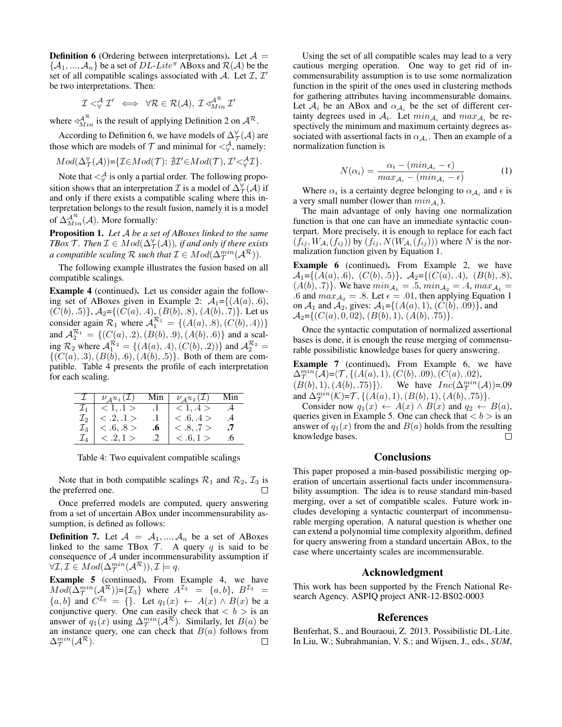**Definition 6** (Ordering between interpretations). Let  $A =$  $\{A_1, ..., A_n\}$  be a set of DL-Lite<sup> $\pi$ </sup> ABoxs and  $\mathcal{R}(\mathcal{A})$  be the set of all compatible scalings associated with A. Let  $I, I'$ be two interpretations. Then:

$$
\mathcal{I} <^{\mathcal{A}}_{\forall} \mathcal{I}' \iff \forall \mathcal{R} \in \mathcal{R}(\mathcal{A}), \mathcal{I} \triangleleft^{\mathcal{A}^{\mathcal{R}}}_{Min} \mathcal{I}'
$$

where  $\triangleleft^{\mathcal{A}^{\mathcal{R}}}_{Min}$  is the result of applying Definition 2 on  $\mathcal{A}^{\mathcal{R}}$ .

According to Definition 6, we have models of  $\Delta_{\mathcal{T}}^{\forall}(\mathcal{A})$  are those which are models of  $\mathcal T$  and minimal for  $\lt^{\mathcal A}_{\forall}$ , namely:

$$
Mod(\Delta_{\mathcal{T}}^{\forall}(\mathcal{A})) = \{ \mathcal{I} \in Mod(\mathcal{T}) : \nexists \mathcal{I}' \in Mod(\mathcal{T}), \mathcal{I}' <^{\mathcal{A}}_{\forall} \mathcal{I} \}.
$$

Note that  $\lt^{\mathcal{A}}_{\forall}$  is only a partial order. The following proposition shows that an interpretation  $\mathcal I$  is a model of  $\Delta^{\forall}_{\mathcal T}(\mathcal A)$  if and only if there exists a compatible scaling where this interpretation belongs to the result fusion, namely it is a model of  $\Delta_{Min}^{\mathcal{A}^{\mathcal{R}}}(A)$ . More formally:

Proposition 1. *Let* A *be a set of ABoxes linked to the same* TBox  $\mathcal T$  *. Then*  $\mathcal I \in Mod(\Delta^{\forall}_{\mathcal T}(\mathcal A))$ *, if and only if there exists a compatible scaling*  $\mathcal R$  *such that*  $\mathcal I \in Mod(\Delta^{\min}_{\mathcal T}(\mathcal A^{\mathcal R})).$ 

The following example illustrates the fusion based on all compatible scalings.

Example 4 (continued). Let us consider again the following set of ABoxes given in Example 2:  $A_1 = \{(A(a), .6),$  $(C(b), .5)$ ,  $A_2 = \{(C(a), .4), (B(b), .8), (A(b), .7)\}$ . Let us consider again  $\mathcal{R}_1$  where  $\mathcal{A}_1^{\mathcal{R}_1} = \{(A(a), .8), (C(b), .4))\}$ and  $\mathcal{A}_2^{\mathcal{R}_1} = \{ (C(a), .2), (B(b), .9), (A(b), .6) \}$  and a scaling  $\mathcal{R}_2$  where  $\mathcal{A}_1^{\mathcal{R}_2} = \{(A(a), .4), (C(b), .2))\}$  and  $\mathcal{A}_2^{\mathcal{R}_2} =$  $\{(C(a), .3), (B(b), .6), (A(b), .5)\}.$  Both of them are compatible. Table 4 presents the profile of each interpretation for each scaling.

|                 | $\nu_A \mathcal{R}_1(\mathcal{I})$ | Min $\vert$ | $\nu_A \mathcal{R}_2(\mathcal{I})$ | Min       |
|-----------------|------------------------------------|-------------|------------------------------------|-----------|
| $\mathcal{I}_1$ | < 1.1 >                            |             | < 1.4 >                            | .4        |
| $\mathcal{I}_2$ | $\langle .2,.1 \rangle$            |             | <.6, .4>                           | $\cdot$ 4 |
| $\mathcal{I}_3$ | <.6.08>                            | .6          | <.8.7>                             |           |
| $\mathcal{L}_A$ | < .2, 1>                           |             | <.6.1>                             |           |

Table 4: Two equivalent compatible scalings

Note that in both compatible scalings  $\mathcal{R}_1$  and  $\mathcal{R}_2$ ,  $\mathcal{I}_3$  is the preferred one.

Once preferred models are computed, query answering from a set of uncertain ABox under incommensurability assumption, is defined as follows:

**Definition 7.** Let  $\mathcal{A} = \mathcal{A}_1, ..., \mathcal{A}_n$  be a set of ABoxes linked to the same TBox  $\mathcal{T}$ . A query q is said to be consequence of A under incommensurability assumption if  $\forall \mathcal{I}, \mathcal{I} \in Mod(\Delta^{\min}_{\mathcal{T}}(\mathcal{A}^{\mathcal{R}})), \mathcal{I} \models q.$ 

Example 5 (continued). From Example 4, we have  $Mod(\Delta^{min}_{\mathcal{T}}(\mathcal{A}^{\mathcal{R}})) = {\{\mathcal{I}_3\}}$  where  $A^{\mathcal{I}_3} = \{a, b\}, B^{\mathcal{I}_3} =$  ${a, b}$  and  $C^{I_3} = \{\}$ . Let  $q_1(x) \leftarrow A(x) \wedge B(x)$  be a conjunctive query. One can easily check that  $\langle b \rangle$  is an answer of  $q_1(x)$  using  $\Delta_{\mathcal{T}}^{min}(\mathcal{A}^{\mathcal{R}})$ . Similarly, let  $B(a)$  be an instance query, one can check that  $B(a)$  follows from  $\Delta_{\mathcal{T}}^{min}(\mathcal{A}^{\mathcal{R}}).$ □

Using the set of all compatible scales may lead to a very cautious merging operation. One way to get rid of incommensurability assumption is to use some normalization function in the spirit of the ones used in clustering methods for gathering attributes having incommensurable domains. Let  $A_i$  be an ABox and  $\alpha_{A_i}$  be the set of different certainty degrees used in  $A_i$ . Let  $min_{A_i}$  and  $max_{A_i}$  be respectively the minimum and maximum certainty degrees associated with assertional facts in  $\alpha_{A_i}$ . Then an example of a normalization function is

$$
N(\alpha_i) = \frac{\alpha_i - (min_{\mathcal{A}_i} - \epsilon)}{max_{\mathcal{A}_i} - (min_{\mathcal{A}_i} - \epsilon)}
$$
(1)

Where  $\alpha_i$  is a certainty degree belonging to  $\alpha_{\mathcal{A}_i}$  and  $\epsilon$  is a very small number (lower than  $min_{A_i}$ ).

The main advantage of only having one normalization function is that one can have an immediate syntactic counterpart. More precisely, it is enough to replace for each fact  $(f_{ij}, W_{\mathcal{A}_i}(f_{ij}))$  by  $(f_{ij}, N(W_{\mathcal{A}_i}(f_{ij})))$  where N is the normalization function given by Equation 1.

Example 6 (continued). From Example 2, we have  $\mathcal{A}_1 = \{(A(a), .6), (C(b), .5)\}, \ \mathcal{A}_2 = \{(C(a), .4), (B(b), .8),$  $(A(b), .7)$ . We have  $min_{A_1} = .5, min_{A_2} = .4, max_{A_1} =$ .6 and  $max_{A_2} = .8$ . Let  $\epsilon = .01$ , then applying Equation 1 on  $A_1$  and  $A_2$ , gives:  $A_1 = \{(A(a), 1), (C(b), .09)\}$ , and  $\mathcal{A}_2=\{(C(a), 0, 02), (B(b), 1), (A(b), .75)\}.$ 

Once the syntactic computation of normalized assertional bases is done, it is enough the reuse merging of commensurable possibilistic knowledge bases for query answering.

Example 7 (continued). From Example 6, we have  $\Delta_{\mathcal{T}}^{min}(\mathcal{A}) = \langle \mathcal{T}, \{ (A(a), 1), (C(b), .09), (\tilde{C}(a), .02),$  $(B(b), 1), (A(b), .75)\}\.$  We have  $Inc(\Delta^{min}_{\mathcal{T}}(\mathcal{A}))=.09$ and  $\Delta_{\mathcal{T}}^{min}(\mathcal{K}) = \mathcal{T}, \{ (A(a), 1), (B(b), 1), (A(b), .75) \}.$ 

Consider now  $q_1(x) \leftarrow A(x) \wedge B(x)$  and  $q_2 \leftarrow B(a)$ , queries given in Example 5. One can check that  $\langle b \rangle$  is an answer of  $q_1(x)$  from the and  $B(a)$  holds from the resulting knowledge bases. □

#### **Conclusions**

This paper proposed a min-based possibilistic merging operation of uncertain assertional facts under incommensurability assumption. The idea is to reuse standard min-based merging, over a set of compatible scales. Future work includes developing a syntactic counterpart of incommensurable merging operation. A natural question is whether one can extend a polynomial time complexity algorithm, defined for query answering from a standard uncertain ABox, to the case where uncertainty scales are incommensurable.

### Acknowledgment

This work has been supported by the French National Research Agency. ASPIQ project ANR-12-BS02-0003

#### References

Benferhat, S., and Bouraoui, Z. 2013. Possibilistic DL-Lite. In Liu, W.; Subrahmanian, V. S.; and Wijsen, J., eds., *SUM*,